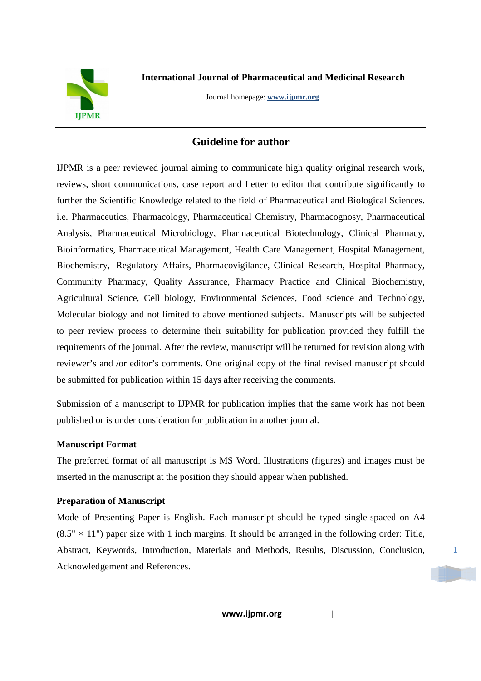

**International Journal of Pharmaceutical and Medicinal Research** 

Journal homepage: **www.ijpmr.org**

# **Guideline for author**

IJPMR is a peer reviewed journal aiming to communicate high quality original research work, reviews, short communications, case report and Letter to editor that contribute significantly to further the Scientific Knowledge related to the field of Pharmaceutical and Biological Sciences. i.e. Pharmaceutics, Pharmacology, Pharmaceutical Chemistry, Pharmacognosy, Pharmaceutical Analysis, Pharmaceutical Microbiology, Pharmaceutical Biotechnology, Clinical Pharmacy, Bioinformatics, Pharmaceutical Management, Health Care Management, Hospital Management, Biochemistry, Regulatory Affairs, Pharmacovigilance, Clinical Research, Hospital Pharmacy, Community Pharmacy, Quality Assurance, Pharmacy Practice and Clinical Biochemistry, Agricultural Science, Cell biology, Environmental Sciences, Food science and Technology, Molecular biology and not limited to above mentioned subjects. Manuscripts will be subjected to peer review process to determine their suitability for publication provided they fulfill the requirements of the journal. After the review, manuscript will be returned for revision along with reviewer's and /or editor's comments. One original copy of the final revised manuscript should be submitted for publication within 15 days after receiving the comments.

Submission of a manuscript to IJPMR for publication implies that the same work has not been published or is under consideration for publication in another journal.

# **Manuscript Format**

The preferred format of all manuscript is MS Word. Illustrations (figures) and images must be inserted in the manuscript at the position they should appear when published.

# **Preparation of Manuscript**

Mode of Presenting Paper is English. Each manuscript should be typed single-spaced on A4  $(8.5" \times 11")$  paper size with 1 inch margins. It should be arranged in the following order: Title, Abstract, Keywords, Introduction, Materials and Methods, Results, Discussion, Conclusion, Acknowledgement and References.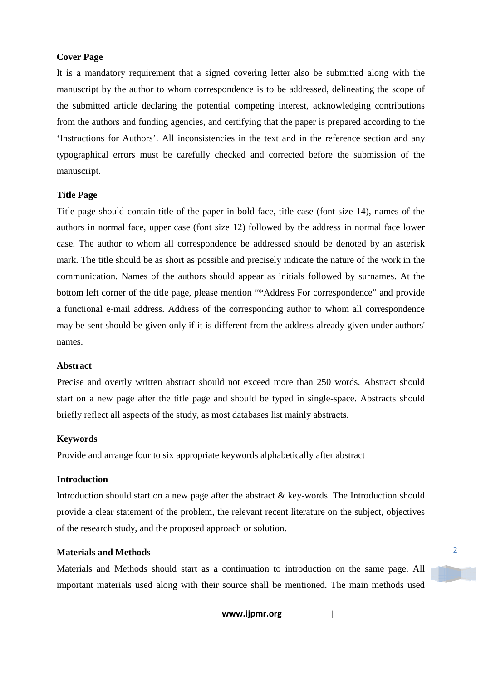#### **Cover Page**

It is a mandatory requirement that a signed covering letter also be submitted along with the manuscript by the author to whom correspondence is to be addressed, delineating the scope of the submitted article declaring the potential competing interest, acknowledging contributions from the authors and funding agencies, and certifying that the paper is prepared according to the 'Instructions for Authors'. All inconsistencies in the text and in the reference section and any typographical errors must be carefully checked and corrected before the submission of the manuscript.

#### **Title Page**

Title page should contain title of the paper in bold face, title case (font size 14), names of the authors in normal face, upper case (font size 12) followed by the address in normal face lower case. The author to whom all correspondence be addressed should be denoted by an asterisk mark. The title should be as short as possible and precisely indicate the nature of the work in the communication. Names of the authors should appear as initials followed by surnames. At the bottom left corner of the title page, please mention "\*Address For correspondence" and provide a functional e-mail address. Address of the corresponding author to whom all correspondence may be sent should be given only if it is different from the address already given under authors' names.

#### **Abstract**

Precise and overtly written abstract should not exceed more than 250 words. Abstract should start on a new page after the title page and should be typed in single-space. Abstracts should briefly reflect all aspects of the study, as most databases list mainly abstracts.

#### **Keywords**

Provide and arrange four to six appropriate keywords alphabetically after abstract

#### **Introduction**

Introduction should start on a new page after the abstract & key-words. The Introduction should provide a clear statement of the problem, the relevant recent literature on the subject, objectives of the research study, and the proposed approach or solution.

#### **Materials and Methods**

Materials and Methods should start as a continuation to introduction on the same page. All important materials used along with their source shall be mentioned. The main methods used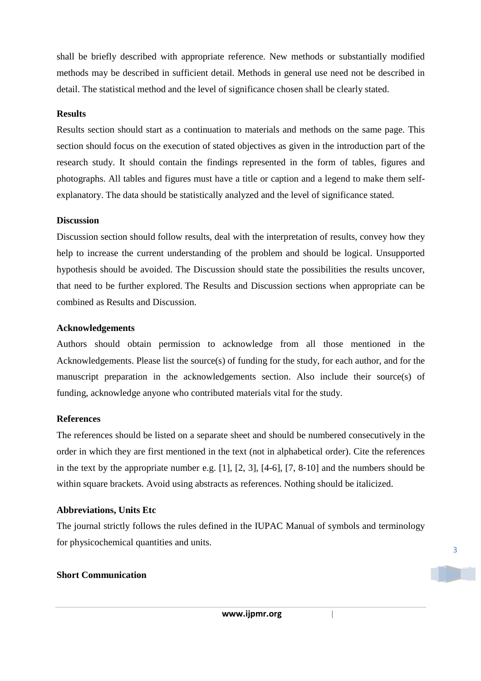shall be briefly described with appropriate reference. New methods or substantially modified methods may be described in sufficient detail. Methods in general use need not be described in detail. The statistical method and the level of significance chosen shall be clearly stated.

#### **Results**

Results section should start as a continuation to materials and methods on the same page. This section should focus on the execution of stated objectives as given in the introduction part of the research study. It should contain the findings represented in the form of tables, figures and photographs. All tables and figures must have a title or caption and a legend to make them selfexplanatory. The data should be statistically analyzed and the level of significance stated.

#### **Discussion**

Discussion section should follow results, deal with the interpretation of results, convey how they help to increase the current understanding of the problem and should be logical. Unsupported hypothesis should be avoided. The Discussion should state the possibilities the results uncover, that need to be further explored. The Results and Discussion sections when appropriate can be combined as Results and Discussion.

#### **Acknowledgements**

Authors should obtain permission to acknowledge from all those mentioned in the Acknowledgements. Please list the source(s) of funding for the study, for each author, and for the manuscript preparation in the acknowledgements section. Also include their source(s) of funding, acknowledge anyone who contributed materials vital for the study.

#### **References**

The references should be listed on a separate sheet and should be numbered consecutively in the order in which they are first mentioned in the text (not in alphabetical order). Cite the references in the text by the appropriate number e.g. [1], [2, 3], [4-6], [7, 8-10] and the numbers should be within square brackets. Avoid using abstracts as references. Nothing should be italicized.

#### **Abbreviations, Units Etc**

The journal strictly follows the rules defined in the IUPAC Manual of symbols and terminology for physicochemical quantities and units.

#### **Short Communication**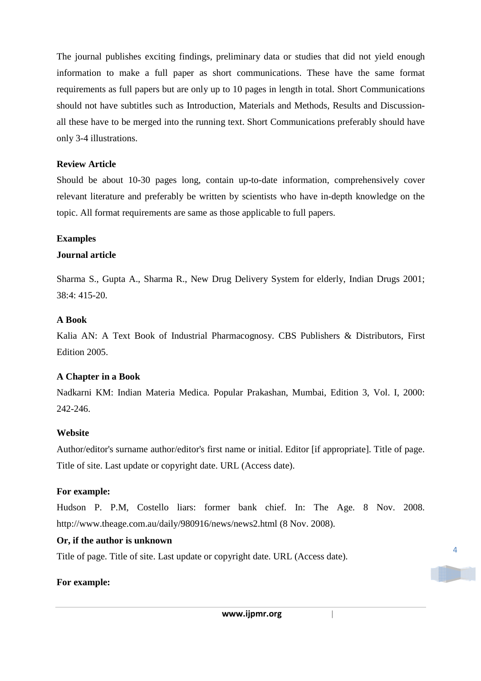The journal publishes exciting findings, preliminary data or studies that did not yield enough information to make a full paper as short communications. These have the same format requirements as full papers but are only up to 10 pages in length in total. Short Communications should not have subtitles such as Introduction, Materials and Methods, Results and Discussionall these have to be merged into the running text. Short Communications preferably should have only 3-4 illustrations.

#### **Review Article**

Should be about 10-30 pages long, contain up-to-date information, comprehensively cover relevant literature and preferably be written by scientists who have in-depth knowledge on the topic. All format requirements are same as those applicable to full papers.

#### **Examples**

#### **Journal article**

Sharma S., Gupta A., Sharma R., New Drug Delivery System for elderly, Indian Drugs 2001; 38:4: 415-20.

### **A Book**

Kalia AN: A Text Book of Industrial Pharmacognosy. CBS Publishers & Distributors, First Edition 2005.

# **A Chapter in a Book**

Nadkarni KM: Indian Materia Medica. Popular Prakashan, Mumbai, Edition 3, Vol. I, 2000: 242-246.

#### **Website**

Author/editor's surname author/editor's first name or initial. Editor [if appropriate]. Title of page. Title of site. Last update or copyright date. URL (Access date).

#### **For example:**

Hudson P. P.M, Costello liars: former bank chief. In: The Age. 8 Nov. 2008. http://www.theage.com.au/daily/980916/news/news2.html (8 Nov. 2008).

#### **Or, if the author is unknown**

Title of page. Title of site. Last update or copyright date. URL (Access date).

#### **For example:**